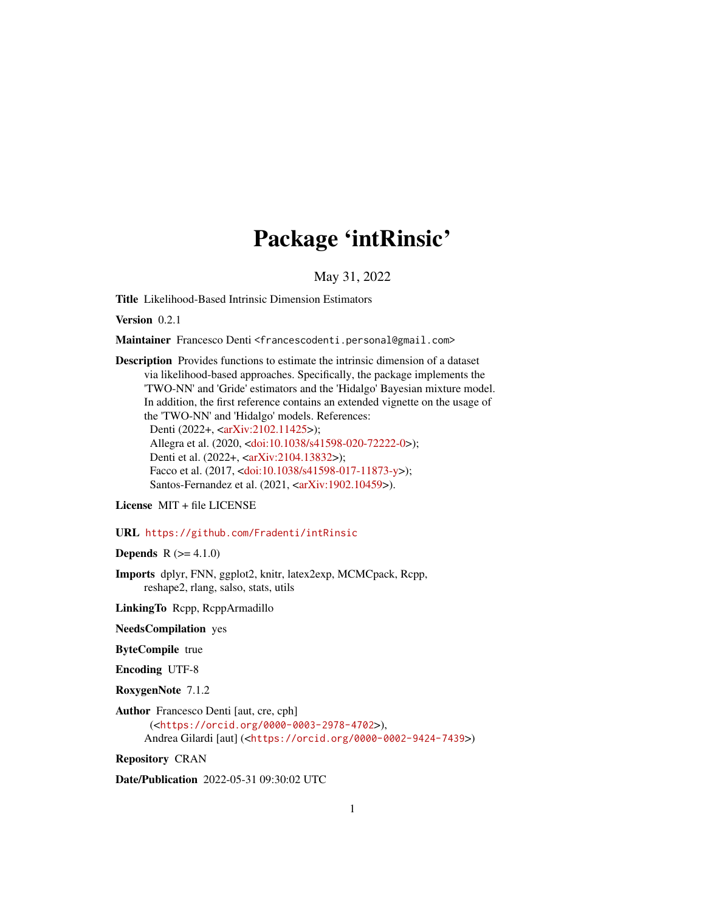# Package 'intRinsic'

May 31, 2022

<span id="page-0-0"></span>Title Likelihood-Based Intrinsic Dimension Estimators

Version 0.2.1

Maintainer Francesco Denti <francescodenti.personal@gmail.com>

Description Provides functions to estimate the intrinsic dimension of a dataset via likelihood-based approaches. Specifically, the package implements the 'TWO-NN' and 'Gride' estimators and the 'Hidalgo' Bayesian mixture model. In addition, the first reference contains an extended vignette on the usage of the 'TWO-NN' and 'Hidalgo' models. References: Denti (2022+, [<arXiv:2102.11425>](https://arxiv.org/abs/2102.11425)); Allegra et al. (2020, [<doi:10.1038/s41598-020-72222-0>](https://doi.org/10.1038/s41598-020-72222-0)); Denti et al. (2022+, [<arXiv:2104.13832>](https://arxiv.org/abs/2104.13832)); Facco et al. (2017, [<doi:10.1038/s41598-017-11873-y>](https://doi.org/10.1038/s41598-017-11873-y)); Santos-Fernandez et al. (2021, [<arXiv:1902.10459>](https://arxiv.org/abs/1902.10459)).

License MIT + file LICENSE

URL <https://github.com/Fradenti/intRinsic>

**Depends**  $R (= 4.1.0)$ 

Imports dplyr, FNN, ggplot2, knitr, latex2exp, MCMCpack, Rcpp, reshape2, rlang, salso, stats, utils

LinkingTo Rcpp, RcppArmadillo

NeedsCompilation yes

ByteCompile true

Encoding UTF-8

RoxygenNote 7.1.2

Author Francesco Denti [aut, cre, cph] (<<https://orcid.org/0000-0003-2978-4702>>), Andrea Gilardi [aut] (<<https://orcid.org/0000-0002-9424-7439>>)

Repository CRAN

Date/Publication 2022-05-31 09:30:02 UTC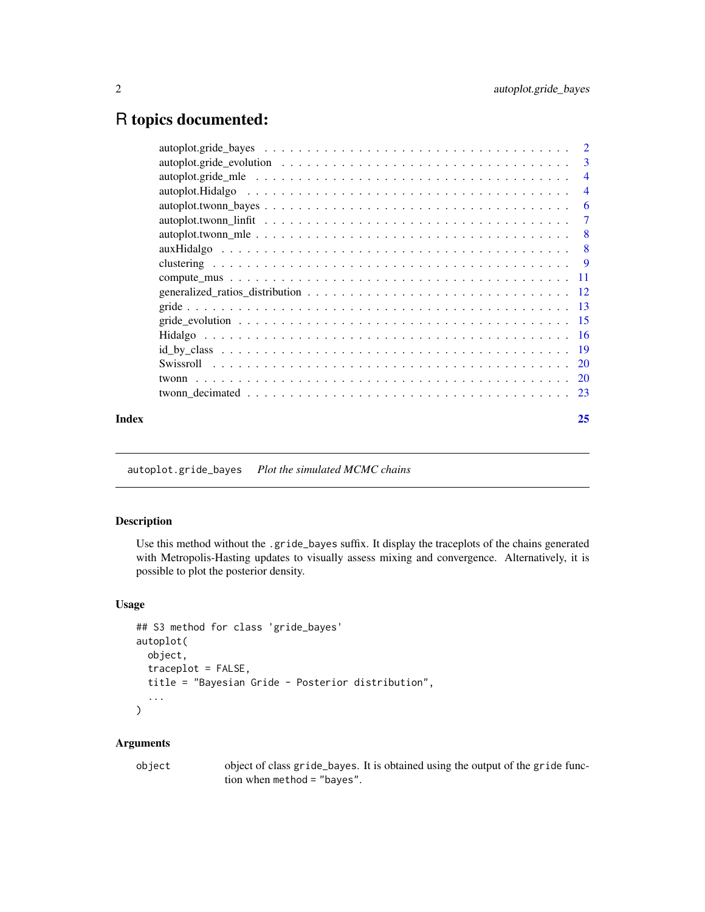# <span id="page-1-0"></span>R topics documented:

|  | -6                                         |
|--|--------------------------------------------|
|  | $\overline{4}$                             |
|  | $\overline{\phantom{a}}$<br>$\overline{4}$ |
|  |                                            |

<span id="page-1-1"></span>autoplot.gride\_bayes *Plot the simulated MCMC chains*

# Description

Use this method without the .gride\_bayes suffix. It display the traceplots of the chains generated with Metropolis-Hasting updates to visually assess mixing and convergence. Alternatively, it is possible to plot the posterior density.

# Usage

```
## S3 method for class 'gride_bayes'
autoplot(
 object,
  traceplot = FALSE,
 title = "Bayesian Gride - Posterior distribution",
  ...
\mathcal{L}
```

| object | object of class gride_bayes. It is obtained using the output of the gride func- |
|--------|---------------------------------------------------------------------------------|
|        | tion when method $=$ "bayes".                                                   |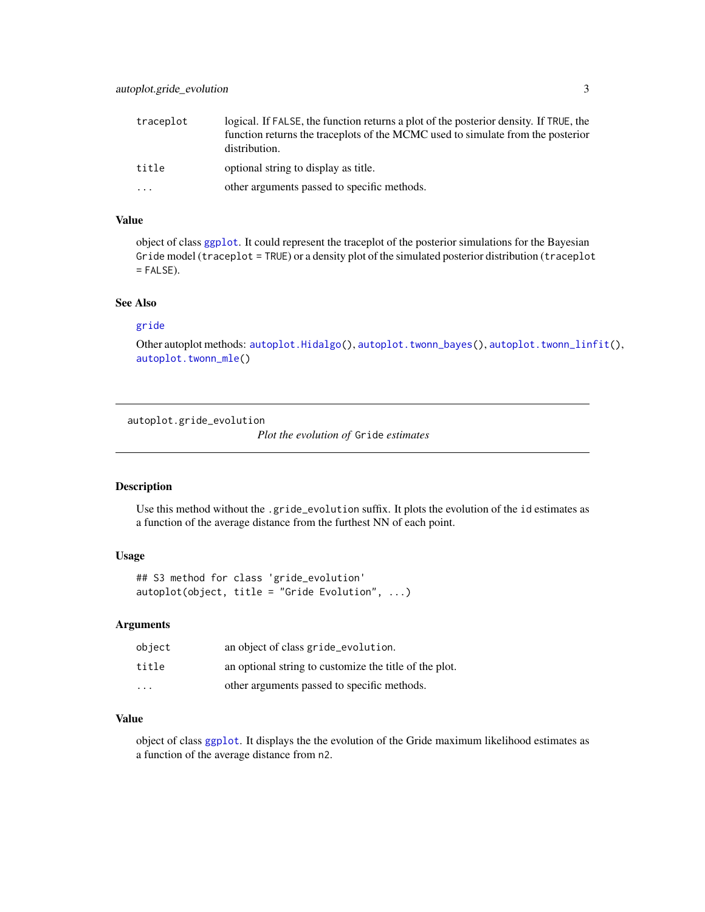<span id="page-2-0"></span>

| traceplot | logical. If FALSE, the function returns a plot of the posterior density. If TRUE, the<br>function returns the traceplots of the MCMC used to simulate from the posterior<br>distribution. |
|-----------|-------------------------------------------------------------------------------------------------------------------------------------------------------------------------------------------|
| title     | optional string to display as title.                                                                                                                                                      |
| .         | other arguments passed to specific methods.                                                                                                                                               |

object of class [ggplot](#page-0-0). It could represent the traceplot of the posterior simulations for the Bayesian Gride model (traceplot = TRUE) or a density plot of the simulated posterior distribution (traceplot  $=$  FALSE).

# See Also

#### [gride](#page-12-1)

Other autoplot methods: [autoplot.Hidalgo\(](#page-3-1)), [autoplot.twonn\\_bayes\(](#page-5-1)), [autoplot.twonn\\_linfit\(](#page-6-1)), [autoplot.twonn\\_mle\(](#page-7-1))

autoplot.gride\_evolution

*Plot the evolution of* Gride *estimates*

# Description

Use this method without the .gride\_evolution suffix. It plots the evolution of the id estimates as a function of the average distance from the furthest NN of each point.

# Usage

```
## S3 method for class 'gride_evolution'
autoplot(object, title = "Gride Evolution", ...)
```
# Arguments

| object                  | an object of class gride_evolution.                    |
|-------------------------|--------------------------------------------------------|
| title                   | an optional string to customize the title of the plot. |
| $\cdot$ $\cdot$ $\cdot$ | other arguments passed to specific methods.            |

# Value

object of class [ggplot](#page-0-0). It displays the the evolution of the Gride maximum likelihood estimates as a function of the average distance from n2.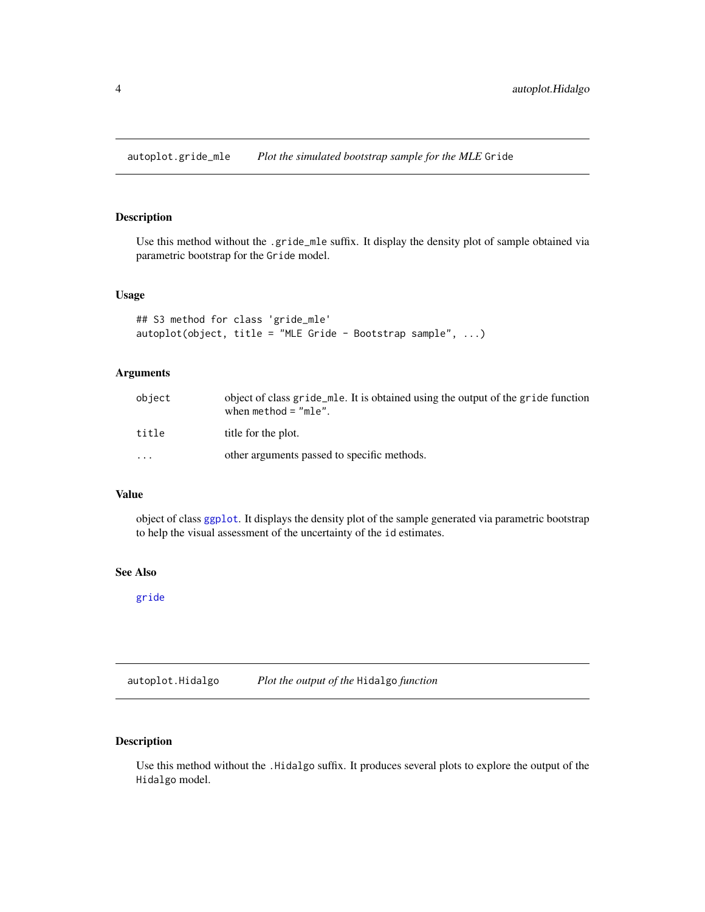<span id="page-3-0"></span>autoplot.gride\_mle *Plot the simulated bootstrap sample for the MLE* Gride

# Description

Use this method without the .gride\_mle suffix. It display the density plot of sample obtained via parametric bootstrap for the Gride model.

#### Usage

```
## S3 method for class 'gride_mle'
autoplot(object, title = "MLE Gride - Bootstrap sample", ...)
```
# Arguments

| object    | object of class gride _mle. It is obtained using the output of the gride function<br>when $method = "mle".$ |
|-----------|-------------------------------------------------------------------------------------------------------------|
| title     | title for the plot.                                                                                         |
| $\ddotsc$ | other arguments passed to specific methods.                                                                 |

# Value

object of class [ggplot](#page-0-0). It displays the density plot of the sample generated via parametric bootstrap to help the visual assessment of the uncertainty of the id estimates.

# See Also

[gride](#page-12-1)

<span id="page-3-1"></span>autoplot.Hidalgo *Plot the output of the* Hidalgo *function*

# Description

Use this method without the .Hidalgo suffix. It produces several plots to explore the output of the Hidalgo model.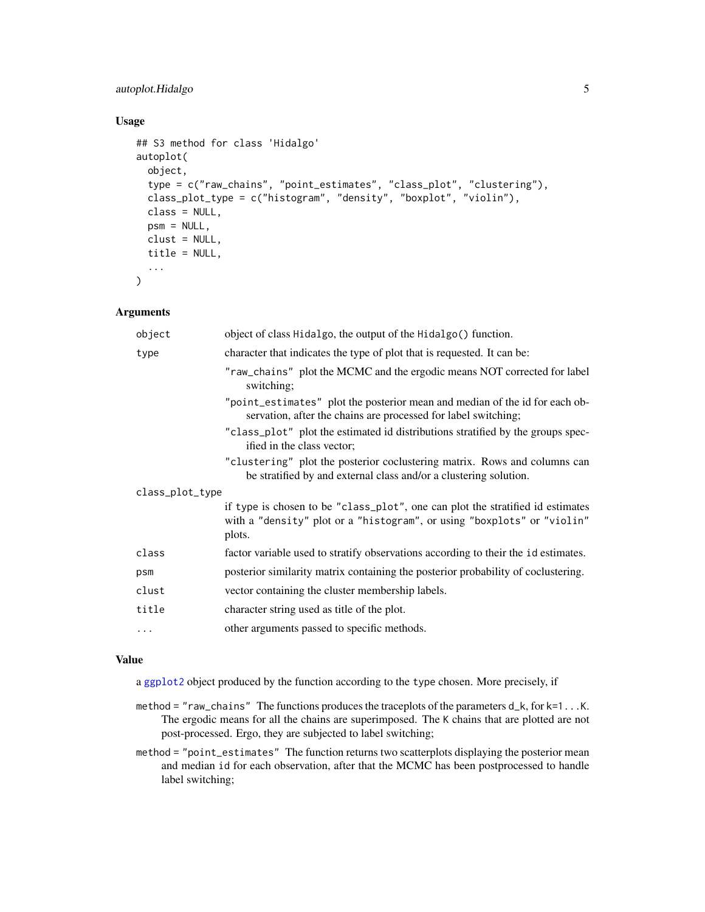# <span id="page-4-0"></span>autoplot.Hidalgo 5

# Usage

```
## S3 method for class 'Hidalgo'
autoplot(
  object,
  type = c("raw_chains", "point_estimates", "class_plot", "clustering"),
  class_plot_type = c("histogram", "density", "boxplot", "violin"),
  class = NULL,
 psm = NULL,
  clust = NULL,
  title = NULL,
  ...
)
```
# Arguments

| object          | object of class Hidalgo, the output of the Hidalgo() function.                                                                                                      |  |
|-----------------|---------------------------------------------------------------------------------------------------------------------------------------------------------------------|--|
| type            | character that indicates the type of plot that is requested. It can be:                                                                                             |  |
|                 | "raw_chains" plot the MCMC and the ergodic means NOT corrected for label<br>switching;                                                                              |  |
|                 | "point_estimates" plot the posterior mean and median of the id for each ob-<br>servation, after the chains are processed for label switching;                       |  |
|                 | "class_plot" plot the estimated id distributions stratified by the groups spec-<br>ified in the class vector;                                                       |  |
|                 | "clustering" plot the posterior coclustering matrix. Rows and columns can<br>be stratified by and external class and/or a clustering solution.                      |  |
| class_plot_type |                                                                                                                                                                     |  |
|                 | if type is chosen to be "class_plot", one can plot the stratified id estimates<br>with a "density" plot or a "histogram", or using "boxplots" or "violin"<br>plots. |  |
| class           | factor variable used to stratify observations according to their the idestimates.                                                                                   |  |
| psm             | posterior similarity matrix containing the posterior probability of coclustering.                                                                                   |  |
| clust           | vector containing the cluster membership labels.                                                                                                                    |  |
| title           | character string used as title of the plot.                                                                                                                         |  |
| $\cdots$        | other arguments passed to specific methods.                                                                                                                         |  |

#### Value

a [ggplot2](#page-0-0) object produced by the function according to the type chosen. More precisely, if

- method = "raw\_chains" The functions produces the traceplots of the parameters d\_k, for k=1...K. The ergodic means for all the chains are superimposed. The K chains that are plotted are not post-processed. Ergo, they are subjected to label switching;
- method = "point\_estimates" The function returns two scatterplots displaying the posterior mean and median id for each observation, after that the MCMC has been postprocessed to handle label switching;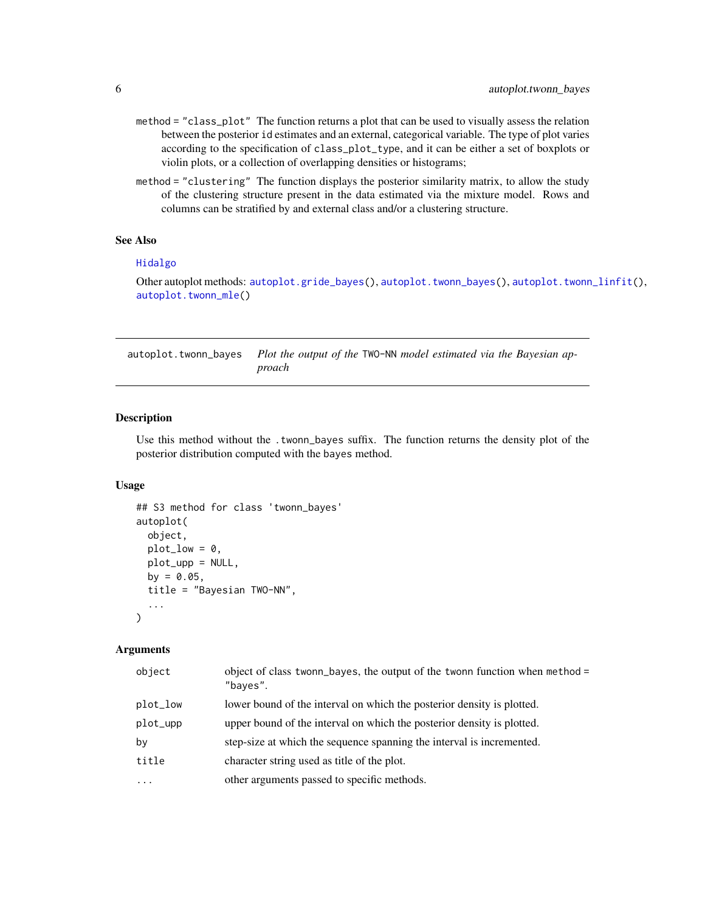- <span id="page-5-0"></span>method = "class\_plot" The function returns a plot that can be used to visually assess the relation between the posterior id estimates and an external, categorical variable. The type of plot varies according to the specification of class\_plot\_type, and it can be either a set of boxplots or violin plots, or a collection of overlapping densities or histograms;
- method = "clustering" The function displays the posterior similarity matrix, to allow the study of the clustering structure present in the data estimated via the mixture model. Rows and columns can be stratified by and external class and/or a clustering structure.

# See Also

#### [Hidalgo](#page-15-1)

Other autoplot methods: [autoplot.gride\\_bayes\(](#page-1-1)), [autoplot.twonn\\_bayes\(](#page-5-1)), [autoplot.twonn\\_linfit\(](#page-6-1)), [autoplot.twonn\\_mle\(](#page-7-1))

<span id="page-5-1"></span>autoplot.twonn\_bayes *Plot the output of the* TWO-NN *model estimated via the Bayesian approach*

# Description

Use this method without the .twonn\_bayes suffix. The function returns the density plot of the posterior distribution computed with the bayes method.

#### Usage

```
## S3 method for class 'twonn_bayes'
autoplot(
 object,
 plot_low = 0,
 plot_upp = NULL,
 by = 0.05,
  title = "Bayesian TWO-NN",
  ...
\lambda
```

| object   | object of class twonn_bayes, the output of the twonn function when method =<br>"bayes". |
|----------|-----------------------------------------------------------------------------------------|
| plot_low | lower bound of the interval on which the posterior density is plotted.                  |
| plot_upp | upper bound of the interval on which the posterior density is plotted.                  |
| by       | step-size at which the sequence spanning the interval is incremented.                   |
| title    | character string used as title of the plot.                                             |
| .        | other arguments passed to specific methods.                                             |
|          |                                                                                         |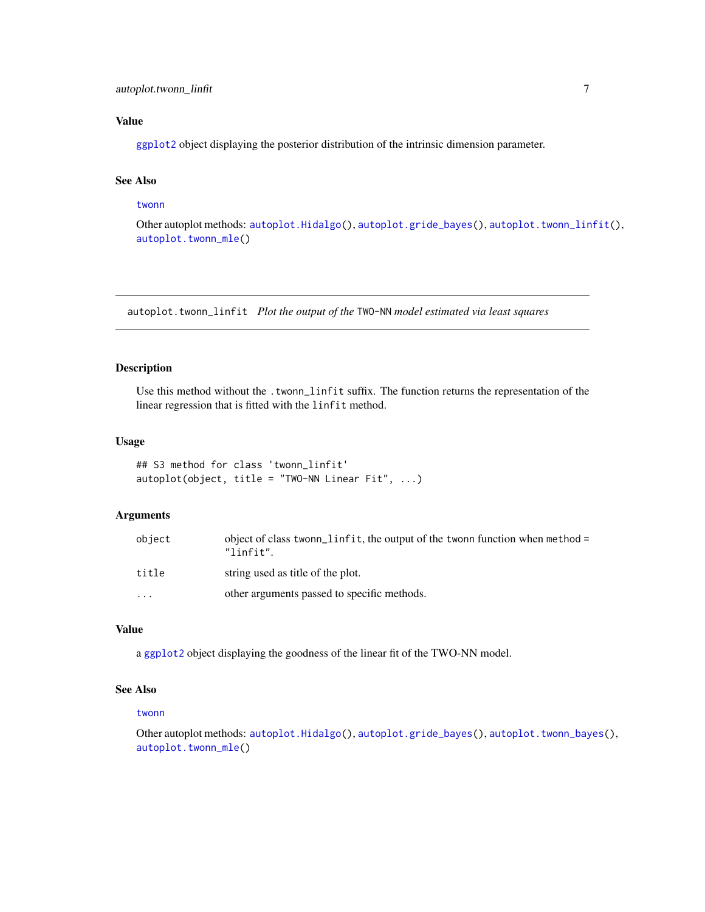<span id="page-6-0"></span>[ggplot2](#page-0-0) object displaying the posterior distribution of the intrinsic dimension parameter.

# See Also

#### [twonn](#page-19-1)

Other autoplot methods: [autoplot.Hidalgo\(](#page-3-1)), [autoplot.gride\\_bayes\(](#page-1-1)), [autoplot.twonn\\_linfit\(](#page-6-1)), [autoplot.twonn\\_mle\(](#page-7-1))

<span id="page-6-1"></span>autoplot.twonn\_linfit *Plot the output of the* TWO-NN *model estimated via least squares*

# Description

Use this method without the .twonn\_linfit suffix. The function returns the representation of the linear regression that is fitted with the linfit method.

#### Usage

```
## S3 method for class 'twonn_linfit'
autoplot(object, title = "TWO-NN Linear Fit", ...)
```
# Arguments

| object   | object of class twonn_linfit, the output of the twonn function when method =<br>"linfit". |
|----------|-------------------------------------------------------------------------------------------|
| title    | string used as title of the plot.                                                         |
| $\cdots$ | other arguments passed to specific methods.                                               |

#### Value

a [ggplot2](#page-0-0) object displaying the goodness of the linear fit of the TWO-NN model.

# See Also

#### [twonn](#page-19-1)

Other autoplot methods: [autoplot.Hidalgo\(](#page-3-1)), [autoplot.gride\\_bayes\(](#page-1-1)), [autoplot.twonn\\_bayes\(](#page-5-1)), [autoplot.twonn\\_mle\(](#page-7-1))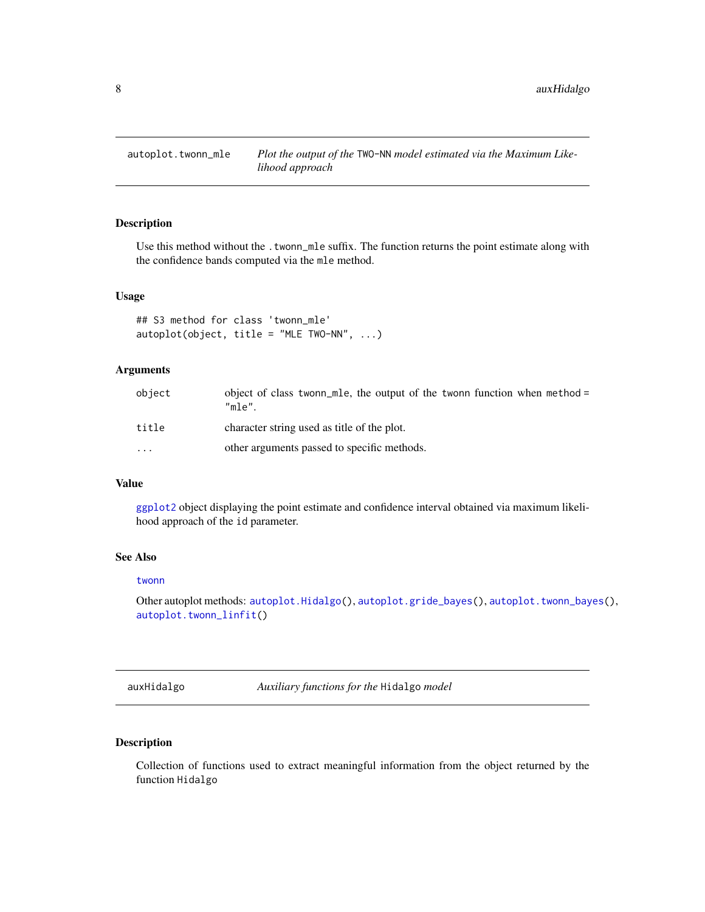<span id="page-7-1"></span><span id="page-7-0"></span>

# Description

Use this method without the . twonn\_mle suffix. The function returns the point estimate along with the confidence bands computed via the mle method.

# Usage

```
## S3 method for class 'twonn_mle'
autoplot(object, title = "MLE TWO-NN", ...)
```
# Arguments

| object | object of class twonn method =<br>"mle"     |
|--------|---------------------------------------------|
| title  | character string used as title of the plot. |
| .      | other arguments passed to specific methods. |

# Value

[ggplot2](#page-0-0) object displaying the point estimate and confidence interval obtained via maximum likelihood approach of the id parameter.

# See Also

#### [twonn](#page-19-1)

Other autoplot methods: [autoplot.Hidalgo\(](#page-3-1)), [autoplot.gride\\_bayes\(](#page-1-1)), [autoplot.twonn\\_bayes\(](#page-5-1)), [autoplot.twonn\\_linfit\(](#page-6-1))

auxHidalgo *Auxiliary functions for the* Hidalgo *model*

# Description

Collection of functions used to extract meaningful information from the object returned by the function Hidalgo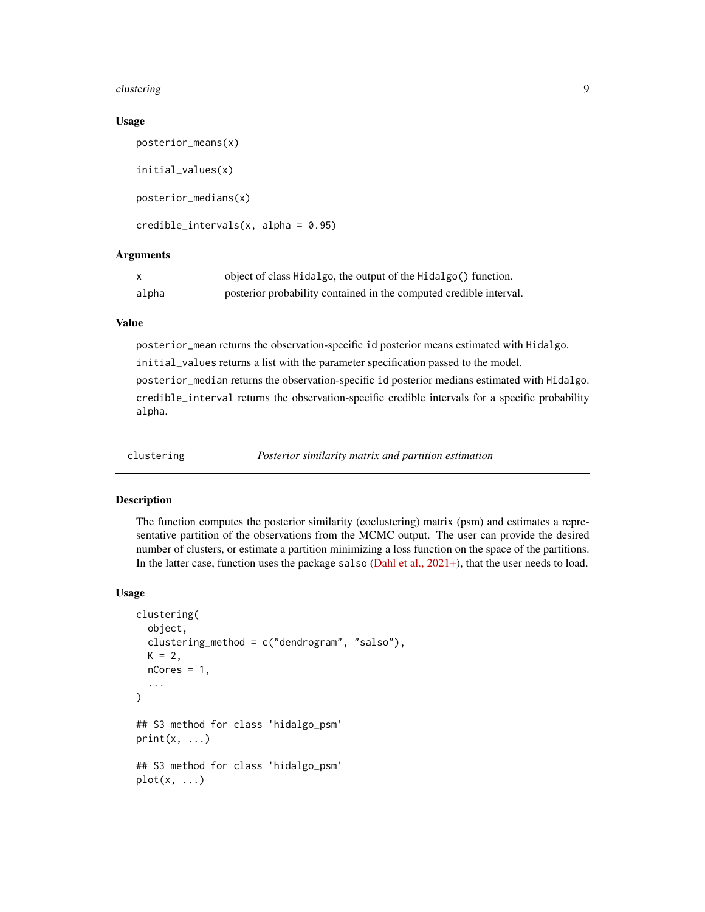#### <span id="page-8-0"></span>clustering the contract of the contract of the contract of the contract of the contract of the contract of the contract of the contract of the contract of the contract of the contract of the contract of the contract of the

#### Usage

```
posterior_means(x)
initial_values(x)
posterior_medians(x)
credible_interestvals(x, alpha = 0.95)
```
#### Arguments

| X     | object of class Hidalgo, the output of the Hidalgo() function.     |
|-------|--------------------------------------------------------------------|
| alpha | posterior probability contained in the computed credible interval. |

# Value

posterior\_mean returns the observation-specific id posterior means estimated with Hidalgo. initial\_values returns a list with the parameter specification passed to the model. posterior\_median returns the observation-specific id posterior medians estimated with Hidalgo. credible\_interval returns the observation-specific credible intervals for a specific probability alpha.

<span id="page-8-1"></span>

clustering *Posterior similarity matrix and partition estimation*

#### Description

The function computes the posterior similarity (coclustering) matrix (psm) and estimates a representative partition of the observations from the MCMC output. The user can provide the desired number of clusters, or estimate a partition minimizing a loss function on the space of the partitions. In the latter case, function uses the package salso [\(Dahl et al., 2021+\)](https://arxiv.org/abs/2105.04451), that the user needs to load.

#### Usage

```
clustering(
  object,
  clustering_method = c("dendrogram", "salso"),
  K = 2,
  nCores = 1,
  ...
\mathcal{L}## S3 method for class 'hidalgo_psm'
print(x, \ldots)## S3 method for class 'hidalgo_psm'
plot(x, \ldots)
```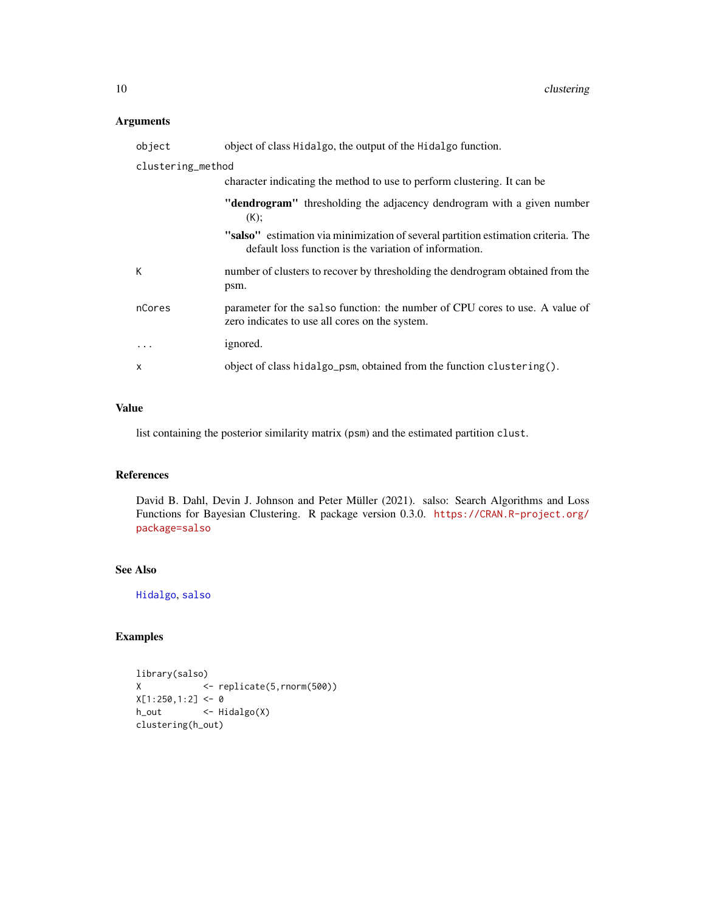# <span id="page-9-0"></span>Arguments

| object            | object of class Hidalgo, the output of the Hidalgo function.                                                                                |
|-------------------|---------------------------------------------------------------------------------------------------------------------------------------------|
| clustering_method |                                                                                                                                             |
|                   | character indicating the method to use to perform clustering. It can be                                                                     |
|                   | "dendrogram" thresholding the adjacency dendrogram with a given number<br>(K);                                                              |
|                   | "salso" estimation via minimization of several partition estimation criteria. The<br>default loss function is the variation of information. |
| К                 | number of clusters to recover by thresholding the dendrogram obtained from the<br>psm.                                                      |
| nCores            | parameter for the salso function: the number of CPU cores to use. A value of<br>zero indicates to use all cores on the system.              |
| .                 | ignored.                                                                                                                                    |
| X                 | object of class hidalgo_psm, obtained from the function clustering().                                                                       |

# Value

list containing the posterior similarity matrix (psm) and the estimated partition clust.

# References

David B. Dahl, Devin J. Johnson and Peter Müller (2021). salso: Search Algorithms and Loss Functions for Bayesian Clustering. R package version 0.3.0. [https://CRAN.R-project.org/](https://CRAN.R-project.org/package=salso) [package=salso](https://CRAN.R-project.org/package=salso)

# See Also

[Hidalgo](#page-15-1), [salso](#page-0-0)

# Examples

```
library(salso)
X <- replicate(5,rnorm(500))
X[1:250, 1:2] <- 0
h_out <- Hidalgo(X)
clustering(h_out)
```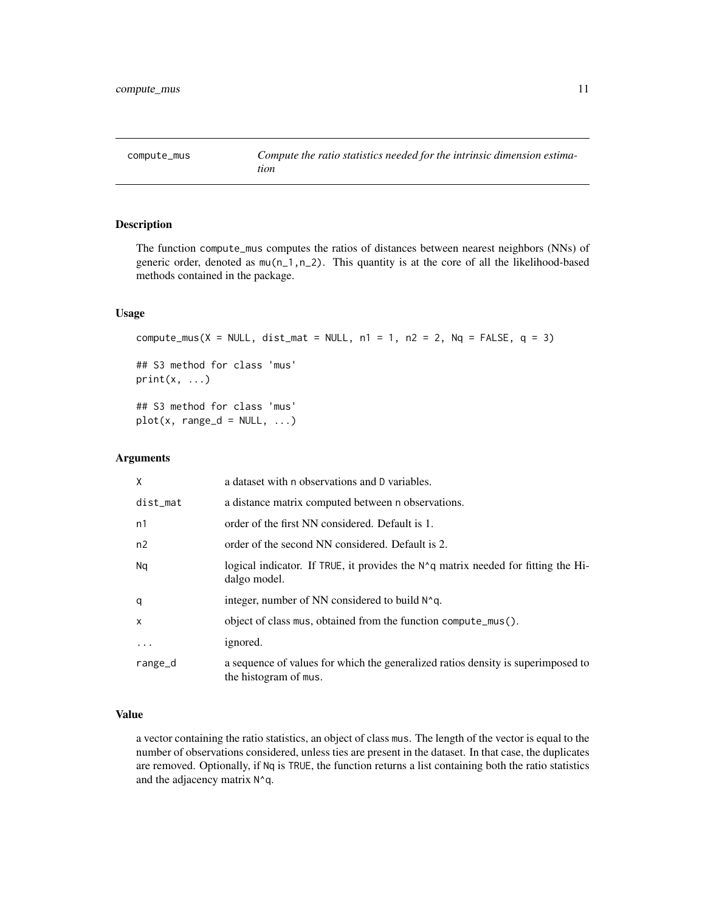<span id="page-10-0"></span>

#### Description

The function compute\_mus computes the ratios of distances between nearest neighbors (NNs) of generic order, denoted as mu(n\_1,n\_2). This quantity is at the core of all the likelihood-based methods contained in the package.

#### Usage

```
compute_mus(X = NULL, dist_mat = NULL, n1 = 1, n2 = 2, Nq = FALSE, q = 3)
## S3 method for class 'mus'
print(x, \ldots)## S3 method for class 'mus'
plot(x, range_d = NULL, ...)
```
# Arguments

| X           | a dataset with n observations and D variables.                                                              |
|-------------|-------------------------------------------------------------------------------------------------------------|
| $dist_m$ at | a distance matrix computed between n observations.                                                          |
| n1          | order of the first NN considered. Default is 1.                                                             |
| n2          | order of the second NN considered. Default is 2.                                                            |
| Nq          | logical indicator. If TRUE, it provides the $N^{\wedge}q$ matrix needed for fitting the Hi-<br>dalgo model. |
| q           | integer, number of NN considered to build N^q.                                                              |
| X           | object of class mus, obtained from the function compute_mus().                                              |
| $\cdots$    | ignored.                                                                                                    |
| range_d     | a sequence of values for which the generalized ratios density is superimposed to<br>the histogram of mus.   |

# Value

a vector containing the ratio statistics, an object of class mus. The length of the vector is equal to the number of observations considered, unless ties are present in the dataset. In that case, the duplicates are removed. Optionally, if Nq is TRUE, the function returns a list containing both the ratio statistics and the adjacency matrix N^q.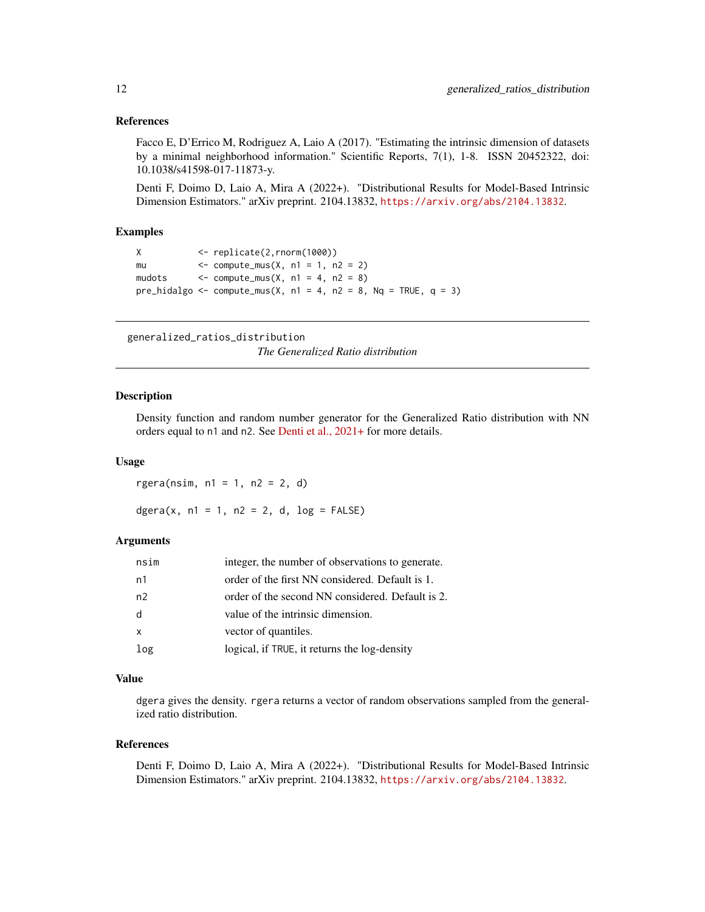# <span id="page-11-0"></span>References

Facco E, D'Errico M, Rodriguez A, Laio A (2017). "Estimating the intrinsic dimension of datasets by a minimal neighborhood information." Scientific Reports, 7(1), 1-8. ISSN 20452322, doi: 10.1038/s41598-017-11873-y.

Denti F, Doimo D, Laio A, Mira A (2022+). "Distributional Results for Model-Based Intrinsic Dimension Estimators." arXiv preprint. 2104.13832, <https://arxiv.org/abs/2104.13832>.

#### Examples

```
X <- replicate(2,rnorm(1000))
mu \le - compute_mus(X, n1 = 1, n2 = 2)
mudots \langle - \text{compute\_mus}(X, n1 = 4, n2 = 8) \ranglepre_hidalgo <- compute_mus(X, n1 = 4, n2 = 8, Nq = TRUE, q = 3)
```

```
generalized_ratios_distribution
                         The Generalized Ratio distribution
```
#### Description

Density function and random number generator for the Generalized Ratio distribution with NN orders equal to n1 and n2. See [Denti et al., 2021+](https://arxiv.org/abs/2104.13832) for more details.

#### Usage

rgera(nsim, n1 = 1, n2 = 2, d)

dgera(x,  $n1 = 1$ ,  $n2 = 2$ , d,  $log = FALSE$ )

#### Arguments

| nsim           | integer, the number of observations to generate. |
|----------------|--------------------------------------------------|
| n1             | order of the first NN considered. Default is 1.  |
| n <sub>2</sub> | order of the second NN considered. Default is 2. |
| d              | value of the intrinsic dimension.                |
| $\mathsf{x}$   | vector of quantiles.                             |
| log            | logical, if TRUE, it returns the log-density     |

# Value

dgera gives the density. rgera returns a vector of random observations sampled from the generalized ratio distribution.

#### References

Denti F, Doimo D, Laio A, Mira A (2022+). "Distributional Results for Model-Based Intrinsic Dimension Estimators." arXiv preprint. 2104.13832, <https://arxiv.org/abs/2104.13832>.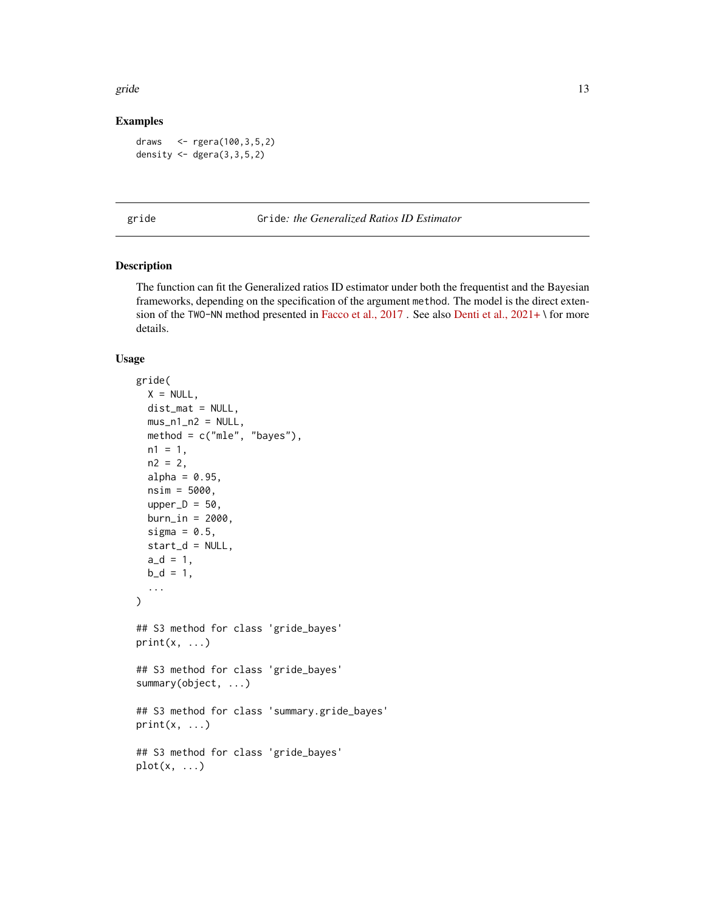<span id="page-12-0"></span>gride the state of the state of the state of the state of the state of the state of the state of the state of the state of the state of the state of the state of the state of the state of the state of the state of the stat

# Examples

```
draws <- rgera(100,3,5,2)
density \leq dgera(3,3,5,2)
```
<span id="page-12-1"></span>gride Gride*: the Generalized Ratios ID Estimator*

# Description

The function can fit the Generalized ratios ID estimator under both the frequentist and the Bayesian frameworks, depending on the specification of the argument method. The model is the direct exten-sion of the TWO-NN method presented in [Facco et al., 2017](https://www.nature.com/articles/s41598-017-11873-y). See also [Denti et al., 2021+](https://arxiv.org/abs/2104.13832) \ for more details.

#### Usage

```
gride(
 X = NULL,dist_mat = NULL,
 mus_n1_n2 = NULL,method = c("mle", "bayes"),
  n1 = 1,
  n2 = 2,
  alpha = 0.95,
  nsim = 5000,
  upper_D = 50,
  burn_in = 2000,sigma = 0.5,
  start_d = NULL,a_d = 1,
 b_d = 1,
  ...
)
## S3 method for class 'gride_bayes'
print(x, \ldots)## S3 method for class 'gride_bayes'
summary(object, ...)
## S3 method for class 'summary.gride_bayes'
print(x, \ldots)## S3 method for class 'gride_bayes'
plot(x, ...)
```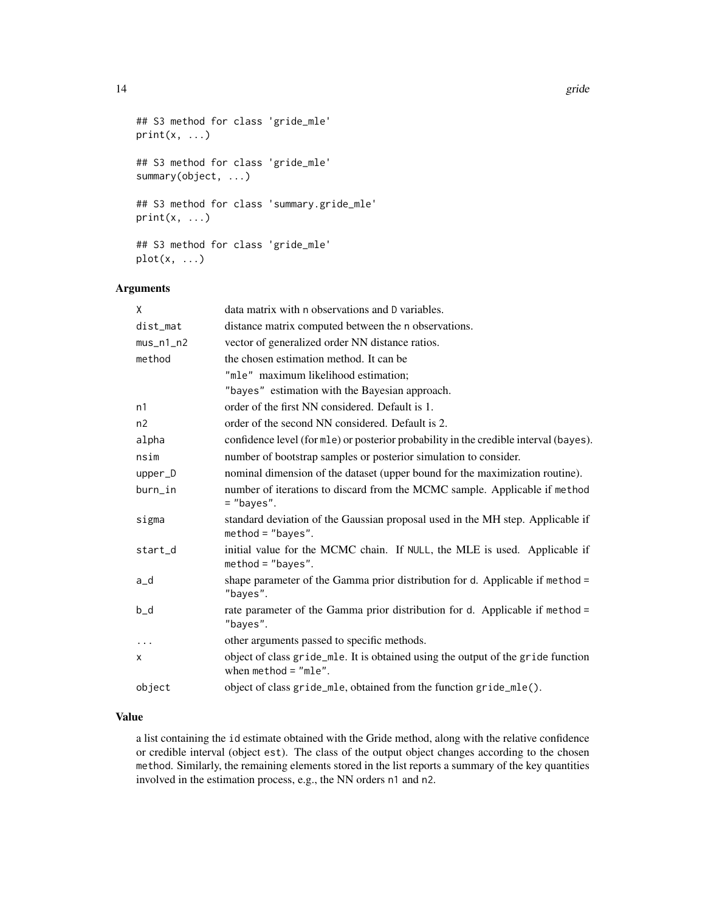```
## S3 method for class 'gride_mle'
print(x, \ldots)## S3 method for class 'gride_mle'
summary(object, ...)
## S3 method for class 'summary.gride_mle'
print(x, \ldots)## S3 method for class 'gride_mle'
plot(x, \ldots)
```
# Arguments

| X           | data matrix with n observations and D variables.                                                           |
|-------------|------------------------------------------------------------------------------------------------------------|
| dist_mat    | distance matrix computed between the n observations.                                                       |
| $mus_n1_n2$ | vector of generalized order NN distance ratios.                                                            |
| method      | the chosen estimation method. It can be                                                                    |
|             | "mle" maximum likelihood estimation;                                                                       |
|             | "bayes" estimation with the Bayesian approach.                                                             |
| n1          | order of the first NN considered. Default is 1.                                                            |
| n2          | order of the second NN considered. Default is 2.                                                           |
| alpha       | confidence level (for mle) or posterior probability in the credible interval (bayes).                      |
| nsim        | number of bootstrap samples or posterior simulation to consider.                                           |
| upper_D     | nominal dimension of the dataset (upper bound for the maximization routine).                               |
| burn_in     | number of iterations to discard from the MCMC sample. Applicable if method<br>$=$ "bayes".                 |
| sigma       | standard deviation of the Gaussian proposal used in the MH step. Applicable if<br>$method = "bayes".$      |
| start_d     | initial value for the MCMC chain. If NULL, the MLE is used. Applicable if<br>$method = "bayes".$           |
| a_d         | shape parameter of the Gamma prior distribution for d. Applicable if method =<br>"bayes".                  |
| $b_d$       | rate parameter of the Gamma prior distribution for d. Applicable if method =<br>"bayes".                   |
| $\cdots$    | other arguments passed to specific methods.                                                                |
| x           | object of class gride_mle. It is obtained using the output of the gride function<br>when $method = "mle".$ |
| object      | object of class gride_mle, obtained from the function gride_mle().                                         |

# Value

a list containing the id estimate obtained with the Gride method, along with the relative confidence or credible interval (object est). The class of the output object changes according to the chosen method. Similarly, the remaining elements stored in the list reports a summary of the key quantities involved in the estimation process, e.g., the NN orders n1 and n2.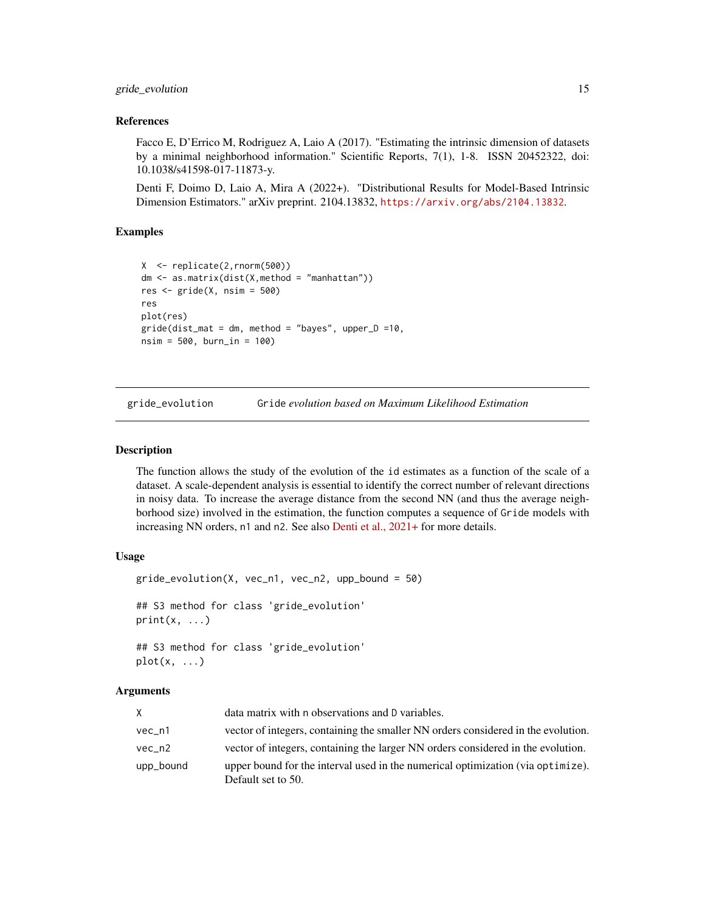# <span id="page-14-0"></span>gride\_evolution 15

#### References

Facco E, D'Errico M, Rodriguez A, Laio A (2017). "Estimating the intrinsic dimension of datasets by a minimal neighborhood information." Scientific Reports, 7(1), 1-8. ISSN 20452322, doi: 10.1038/s41598-017-11873-y.

Denti F, Doimo D, Laio A, Mira A (2022+). "Distributional Results for Model-Based Intrinsic Dimension Estimators." arXiv preprint. 2104.13832, <https://arxiv.org/abs/2104.13832>.

# Examples

```
X <- replicate(2,rnorm(500))
dm <- as.matrix(dist(X,method = "manhattan"))
res \le gride(X, nsim = 500)
res
plot(res)
gride(dist_matrix = dm, method = "bayes", upper_D =10,nsim = 500, burn_in = 100)
```
gride\_evolution Gride *evolution based on Maximum Likelihood Estimation*

#### Description

The function allows the study of the evolution of the id estimates as a function of the scale of a dataset. A scale-dependent analysis is essential to identify the correct number of relevant directions in noisy data. To increase the average distance from the second NN (and thus the average neighborhood size) involved in the estimation, the function computes a sequence of Gride models with increasing NN orders, n1 and n2. See also [Denti et al., 2021+](https://arxiv.org/abs/2104.13832) for more details.

# Usage

```
gride_evolution(X, vec_n1, vec_n2, upp_bound = 50)
## S3 method for class 'gride_evolution'
print(x, \ldots)## S3 method for class 'gride_evolution'
plot(x, \ldots)
```

| X.        | data matrix with n observations and D variables.                                                      |
|-----------|-------------------------------------------------------------------------------------------------------|
| $vec\_n1$ | vector of integers, containing the smaller NN orders considered in the evolution.                     |
| vec n2    | vector of integers, containing the larger NN orders considered in the evolution.                      |
| upp_bound | upper bound for the interval used in the numerical optimization (via optimize).<br>Default set to 50. |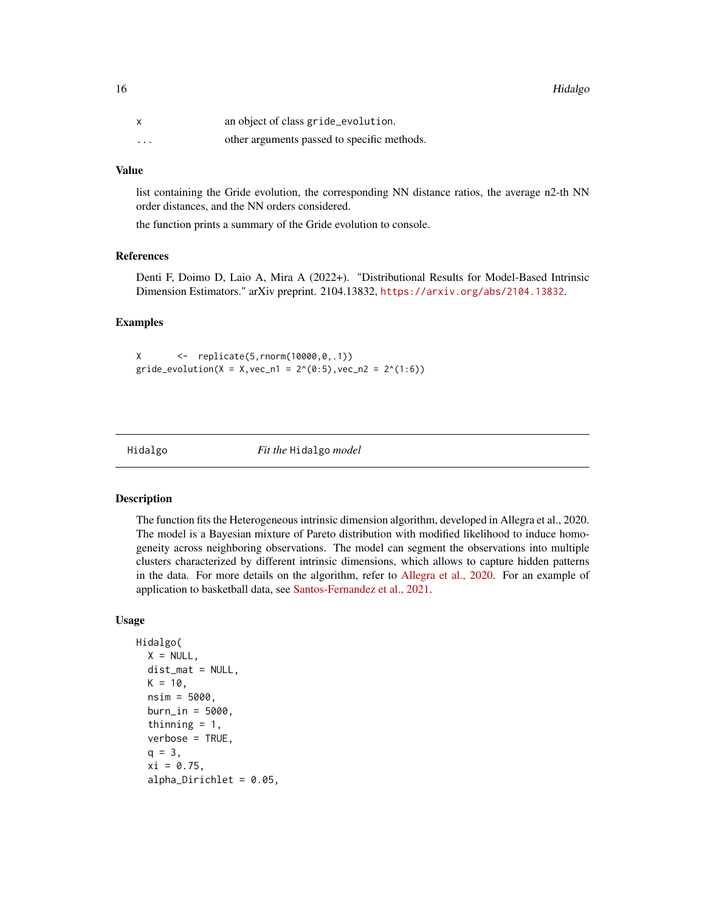<span id="page-15-0"></span>

|          | an object of class gride_evolution.         |
|----------|---------------------------------------------|
| $\cdots$ | other arguments passed to specific methods. |

list containing the Gride evolution, the corresponding NN distance ratios, the average n2-th NN order distances, and the NN orders considered.

the function prints a summary of the Gride evolution to console.

# References

Denti F, Doimo D, Laio A, Mira A (2022+). "Distributional Results for Model-Based Intrinsic Dimension Estimators." arXiv preprint. 2104.13832, <https://arxiv.org/abs/2104.13832>.

# Examples

X <- replicate(5,rnorm(10000,0,.1)) gride\_evolution( $X = X$ , vec\_n1 = 2^(0:5), vec\_n2 = 2^(1:6))

<span id="page-15-1"></span>Hidalgo *Fit the* Hidalgo *model*

#### Description

The function fits the Heterogeneous intrinsic dimension algorithm, developed in Allegra et al., 2020. The model is a Bayesian mixture of Pareto distribution with modified likelihood to induce homogeneity across neighboring observations. The model can segment the observations into multiple clusters characterized by different intrinsic dimensions, which allows to capture hidden patterns in the data. For more details on the algorithm, refer to [Allegra et al., 2020.](https://www.nature.com/articles/s41598-020-72222-0) For an example of application to basketball data, see [Santos-Fernandez et al., 2021.](https://imstat.org/journals-and-publications/annals-of-applied-statistics/annals-of-applied-statistics-next-issues/)

# Usage

```
Hidalgo(
  X = NULL,dist_mat = NULL,
  K = 10,
  nsim = 5000,
  burn_in = 5000,
  thinning = 1,
  verbose = TRUE,
  q = 3,
  xi = 0.75,
  alpha_Dirichlet = 0.05,
```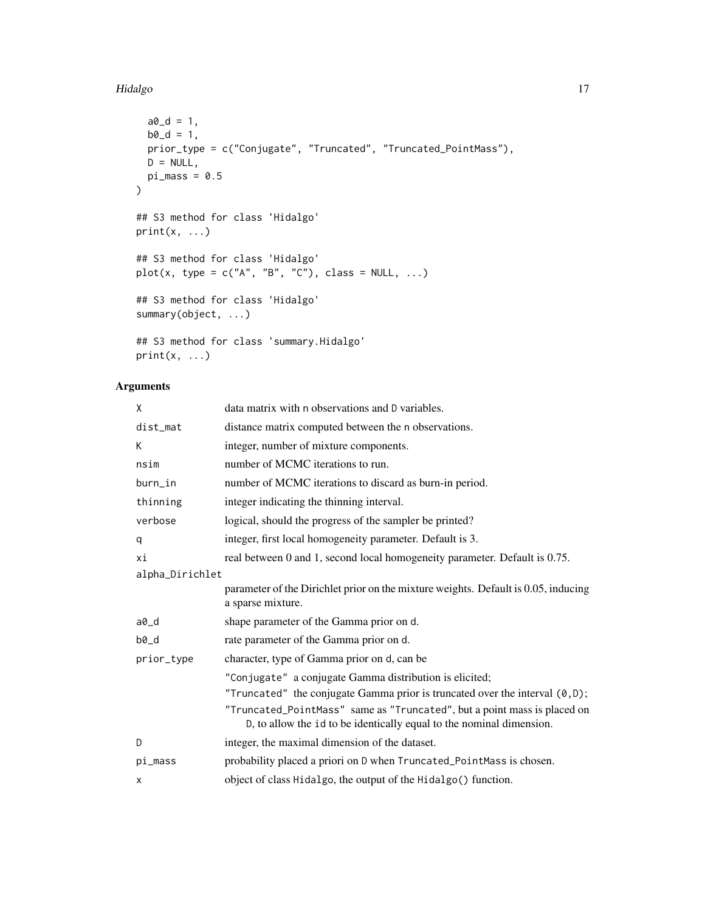# Hidalgo 17

```
a0_d = 1,
  b0_d = 1,
 prior_type = c("Conjugate", "Truncated", "Truncated_PointMass"),
  D = NULL,pi_mass = 0.5
\mathcal{L}## S3 method for class 'Hidalgo'
print(x, \ldots)## S3 method for class 'Hidalgo'
plot(x, type = c("A", "B", "C"), class = NULL, ...)## S3 method for class 'Hidalgo'
summary(object, ...)
## S3 method for class 'summary.Hidalgo'
print(x, \ldots)
```

| X               | data matrix with n observations and D variables.                                                                                                 |
|-----------------|--------------------------------------------------------------------------------------------------------------------------------------------------|
| dist_mat        | distance matrix computed between the n observations.                                                                                             |
| K               | integer, number of mixture components.                                                                                                           |
| nsim            | number of MCMC iterations to run.                                                                                                                |
| burn_in         | number of MCMC iterations to discard as burn-in period.                                                                                          |
| thinning        | integer indicating the thinning interval.                                                                                                        |
| verbose         | logical, should the progress of the sampler be printed?                                                                                          |
| q               | integer, first local homogeneity parameter. Default is 3.                                                                                        |
| хi              | real between 0 and 1, second local homogeneity parameter. Default is 0.75.                                                                       |
| alpha_Dirichlet |                                                                                                                                                  |
|                 | parameter of the Dirichlet prior on the mixture weights. Default is 0.05, inducing<br>a sparse mixture.                                          |
| a0_d            | shape parameter of the Gamma prior on d.                                                                                                         |
| $b0_d$          | rate parameter of the Gamma prior on d.                                                                                                          |
| prior_type      | character, type of Gamma prior on d, can be                                                                                                      |
|                 | "Conjugate" a conjugate Gamma distribution is elicited;                                                                                          |
|                 | "Truncated" the conjugate Gamma prior is truncated over the interval $(0, D)$ ;                                                                  |
|                 | "Truncated_PointMass" same as "Truncated", but a point mass is placed on<br>D, to allow the id to be identically equal to the nominal dimension. |
| D               | integer, the maximal dimension of the dataset.                                                                                                   |
| pi_mass         | probability placed a priori on D when Truncated_PointMass is chosen.                                                                             |
| x               | object of class Hidalgo, the output of the Hidalgo() function.                                                                                   |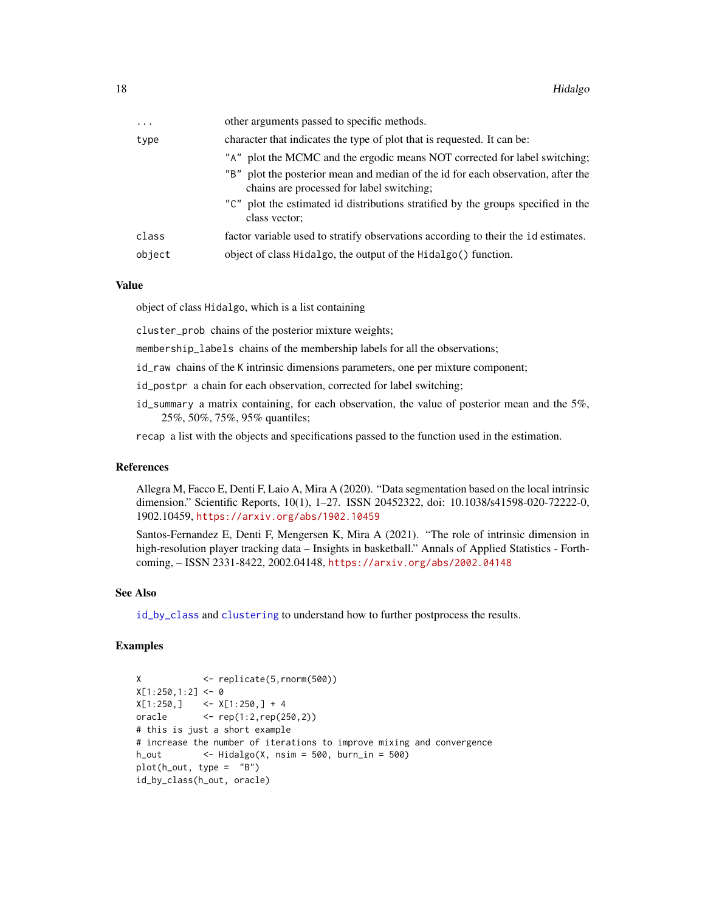<span id="page-17-0"></span>

| $\ddots$ | other arguments passed to specific methods.                                                                                   |
|----------|-------------------------------------------------------------------------------------------------------------------------------|
| type     | character that indicates the type of plot that is requested. It can be:                                                       |
|          | "A" plot the MCMC and the ergodic means NOT corrected for label switching;                                                    |
|          | "B" plot the posterior mean and median of the id for each observation, after the<br>chains are processed for label switching; |
|          | "C" plot the estimated id distributions stratified by the groups specified in the<br>class vector;                            |
| class    | factor variable used to stratify observations according to their the idestimates.                                             |
| object   | object of class Hidalgo, the output of the Hidalgo() function.                                                                |

object of class Hidalgo, which is a list containing

cluster\_prob chains of the posterior mixture weights;

membership\_labels chains of the membership labels for all the observations;

- id\_raw chains of the K intrinsic dimensions parameters, one per mixture component;
- id\_postpr a chain for each observation, corrected for label switching;
- id\_summary a matrix containing, for each observation, the value of posterior mean and the 5%, 25%, 50%, 75%, 95% quantiles;

recap a list with the objects and specifications passed to the function used in the estimation.

#### References

Allegra M, Facco E, Denti F, Laio A, Mira A (2020). "Data segmentation based on the local intrinsic dimension." Scientific Reports, 10(1), 1–27. ISSN 20452322, doi: 10.1038/s41598-020-72222-0, 1902.10459, <https://arxiv.org/abs/1902.10459>

Santos-Fernandez E, Denti F, Mengersen K, Mira A (2021). "The role of intrinsic dimension in high-resolution player tracking data – Insights in basketball." Annals of Applied Statistics - Forthcoming, – ISSN 2331-8422, 2002.04148, <https://arxiv.org/abs/2002.04148>

#### See Also

[id\\_by\\_class](#page-18-1) and [clustering](#page-8-1) to understand how to further postprocess the results.

### Examples

```
X <- replicate(5,rnorm(500))
X[1:250, 1:2] <- 0
X[1:250,] <- X[1:250,] + 4
oracle <- rep(1:2,rep(250,2))
# this is just a short example
# increase the number of iterations to improve mixing and convergence
h_out <- Hidalgo(X, nsim = 500, burn_in = 500)
plot(h_out, type = "B")
id_by_class(h_out, oracle)
```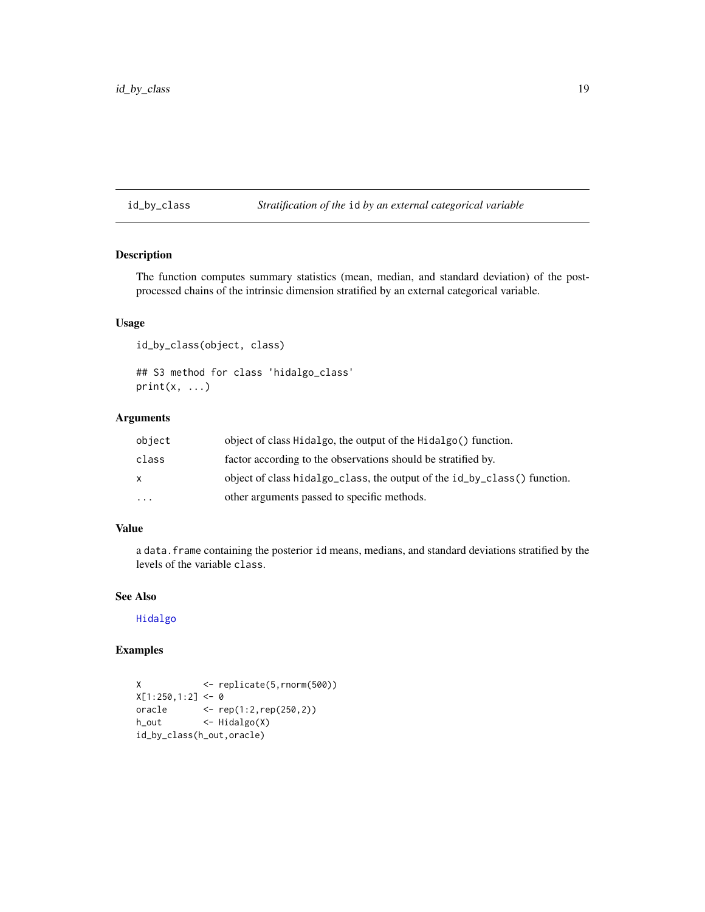# <span id="page-18-1"></span><span id="page-18-0"></span>id\_by\_class *Stratification of the* id *by an external categorical variable*

# Description

The function computes summary statistics (mean, median, and standard deviation) of the postprocessed chains of the intrinsic dimension stratified by an external categorical variable.

# Usage

```
id_by_class(object, class)
## S3 method for class 'hidalgo_class'
print(x, \ldots)
```
# Arguments

| object    | object of class Hidalgo, the output of the Hidalgo() function.           |
|-----------|--------------------------------------------------------------------------|
| class     | factor according to the observations should be stratified by.            |
| x.        | object of class hidalgo_class, the output of the id_by_class() function. |
| $\ddotsc$ | other arguments passed to specific methods.                              |

#### Value

a data.frame containing the posterior id means, medians, and standard deviations stratified by the levels of the variable class.

# See Also

[Hidalgo](#page-15-1)

# Examples

```
X <- replicate(5,rnorm(500))
X[1:250, 1:2] <- 0
oracle <- rep(1:2,rep(250,2))
h_out <- Hidalgo(X)
id_by_class(h_out,oracle)
```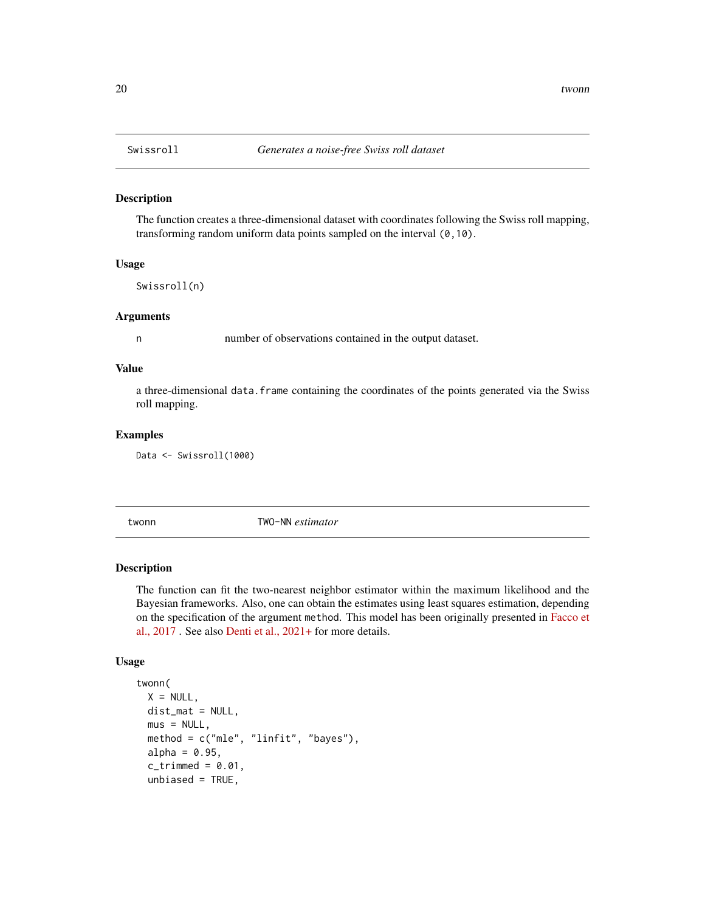#### Description

The function creates a three-dimensional dataset with coordinates following the Swiss roll mapping, transforming random uniform data points sampled on the interval (0,10).

#### Usage

Swissroll(n)

# Arguments

n number of observations contained in the output dataset.

# Value

a three-dimensional data.frame containing the coordinates of the points generated via the Swiss roll mapping.

#### Examples

Data <- Swissroll(1000)

<span id="page-19-1"></span>twonn TWO-NN *estimator*

#### Description

The function can fit the two-nearest neighbor estimator within the maximum likelihood and the Bayesian frameworks. Also, one can obtain the estimates using least squares estimation, depending on the specification of the argument method. This model has been originally presented in [Facco et](https://www.nature.com/articles/s41598-017-11873-y) [al., 2017](https://www.nature.com/articles/s41598-017-11873-y) . See also [Denti et al., 2021+](https://arxiv.org/abs/2104.13832) for more details.

# Usage

```
twonn(
 X = NULL,dist_mat = NULL,
 mus = NULL,method = c("mle", "linfit", "bayes"),
 alpha = 0.95,
  c_trimmed = 0.01,
 unbiased = TRUE,
```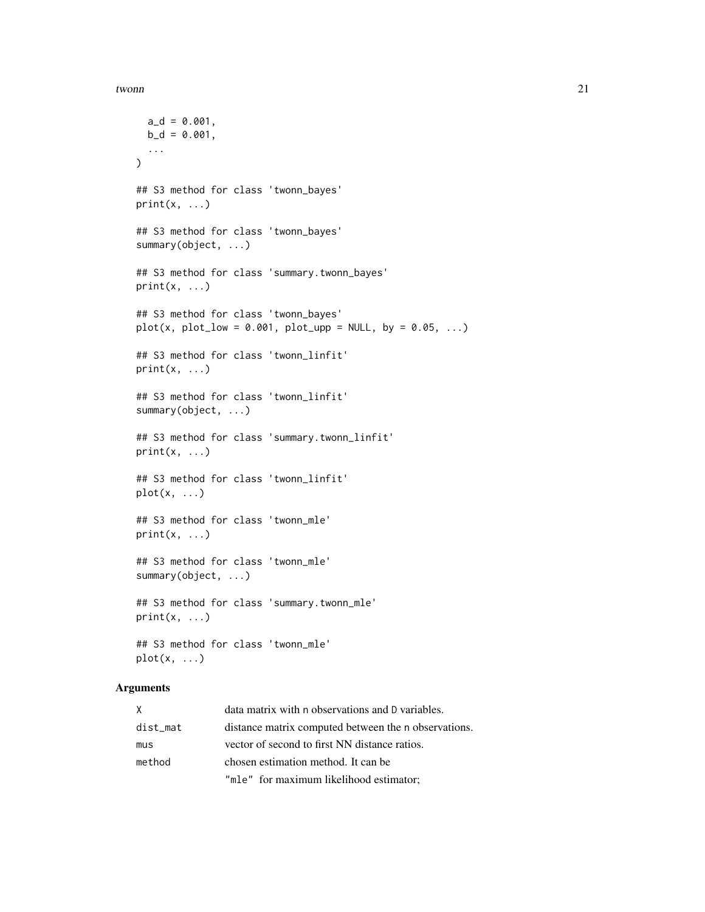#### twonn 21

```
a_d = 0.001,
  b_d = 0.001,
  ...
\lambda## S3 method for class 'twonn_bayes'
print(x, \ldots)## S3 method for class 'twonn_bayes'
summary(object, ...)
## S3 method for class 'summary.twonn_bayes'
print(x, \ldots)## S3 method for class 'twonn_bayes'
plot(x, plot\_low = 0.001, plot\_upp = NULL, by = 0.05, ...)## S3 method for class 'twonn_linfit'
print(x, \ldots)## S3 method for class 'twonn_linfit'
summary(object, ...)
## S3 method for class 'summary.twonn_linfit'
print(x, \ldots)## S3 method for class 'twonn_linfit'
plot(x, ...)
## S3 method for class 'twonn_mle'
print(x, \ldots)## S3 method for class 'twonn_mle'
summary(object, ...)
## S3 method for class 'summary.twonn_mle'
print(x, \ldots)## S3 method for class 'twonn_mle'
plot(x, ...)
```

| X        | data matrix with n observations and D variables.     |
|----------|------------------------------------------------------|
| dist_mat | distance matrix computed between the n observations. |
| mus      | vector of second to first NN distance ratios.        |
| method   | chosen estimation method. It can be                  |
|          | "mle" for maximum likelihood estimator;              |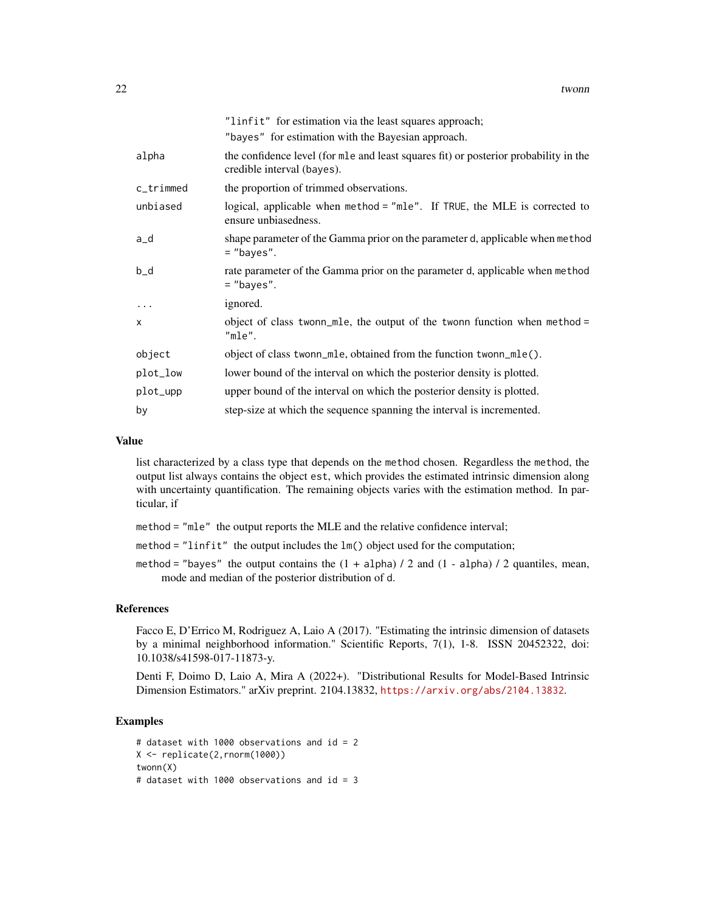|              | "linfit" for estimation via the least squares approach;                                                            |
|--------------|--------------------------------------------------------------------------------------------------------------------|
|              | "bayes" for estimation with the Bayesian approach.                                                                 |
| alpha        | the confidence level (for mle and least squares fit) or posterior probability in the<br>credible interval (bayes). |
| $c$ _trimmed | the proportion of trimmed observations.                                                                            |
| unbiased     | logical, applicable when method = "mle". If TRUE, the MLE is corrected to<br>ensure unbiasedness.                  |
| a_d          | shape parameter of the Gamma prior on the parameter d, applicable when method<br>$=$ "bayes".                      |
| $b_d$        | rate parameter of the Gamma prior on the parameter d, applicable when method<br>$=$ "bayes".                       |
| $\cdots$     | ignored.                                                                                                           |
| $\mathsf{x}$ | object of class twonn_mle, the output of the twonn function when method =<br>$"mle"$ .                             |
| object       | object of class twonn_mle, obtained from the function twonn_mle().                                                 |
| plot_low     | lower bound of the interval on which the posterior density is plotted.                                             |
| plot_upp     | upper bound of the interval on which the posterior density is plotted.                                             |
| by           | step-size at which the sequence spanning the interval is incremented.                                              |

list characterized by a class type that depends on the method chosen. Regardless the method, the output list always contains the object est, which provides the estimated intrinsic dimension along with uncertainty quantification. The remaining objects varies with the estimation method. In particular, if

- method = "mle" the output reports the MLE and the relative confidence interval;
- method = "linfit" the output includes the lm() object used for the computation;
- method = "bayes" the output contains the  $(1 + alpha) / 2$  and  $(1 alpha) / 2$  quantiles, mean, mode and median of the posterior distribution of d.

# References

Facco E, D'Errico M, Rodriguez A, Laio A (2017). "Estimating the intrinsic dimension of datasets by a minimal neighborhood information." Scientific Reports, 7(1), 1-8. ISSN 20452322, doi: 10.1038/s41598-017-11873-y.

Denti F, Doimo D, Laio A, Mira A (2022+). "Distributional Results for Model-Based Intrinsic Dimension Estimators." arXiv preprint. 2104.13832, <https://arxiv.org/abs/2104.13832>.

# Examples

```
# dataset with 1000 observations and id = 2
X <- replicate(2,rnorm(1000))
twonn(X)
# dataset with 1000 observations and id = 3
```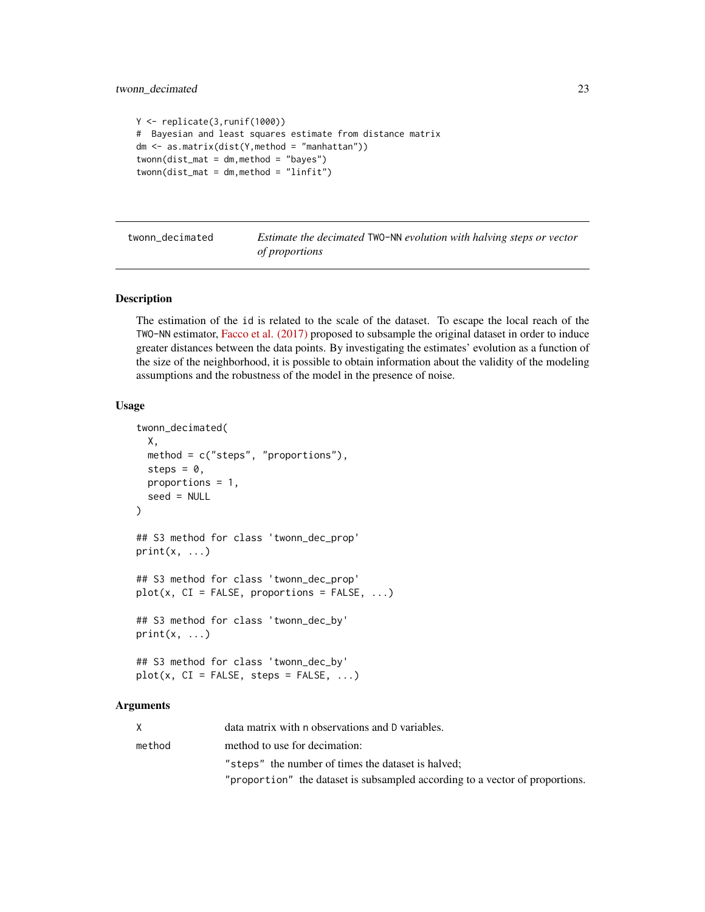```
Y <- replicate(3,runif(1000))
# Bayesian and least squares estimate from distance matrix
dm <- as.matrix(dist(Y,method = "manhattan"))
twonn(dist_mat = dm, method = "bayes")twonn(dist_mat = dm,method = "linfit")
```
twonn\_decimated *Estimate the decimated* TWO-NN *evolution with halving steps or vector of proportions*

# Description

The estimation of the id is related to the scale of the dataset. To escape the local reach of the TWO-NN estimator, [Facco et al. \(2017\)](https://www.nature.com/articles/s41598-017-11873-y) proposed to subsample the original dataset in order to induce greater distances between the data points. By investigating the estimates' evolution as a function of the size of the neighborhood, it is possible to obtain information about the validity of the modeling assumptions and the robustness of the model in the presence of noise.

# Usage

```
twonn_decimated(
  X,
  method = c("steps", "proportions"),
  steps = \theta,
  proportions = 1,
  seed = NULL
)
## S3 method for class 'twonn_dec_prop'
print(x, \ldots)## S3 method for class 'twonn_dec_prop'
plot(x, CI = FALSE, proportions = FALSE, ...)## S3 method for class 'twonn_dec_by'
print(x, \ldots)## S3 method for class 'twonn_dec_by'
plot(x, CI = FALSE, steps = FALSE, ...)
```

|        | data matrix with n observations and D variables.                             |
|--------|------------------------------------------------------------------------------|
| method | method to use for decimation:                                                |
|        | "steps" the number of times the dataset is halved:                           |
|        | "proportion" the dataset is subsampled according to a vector of proportions. |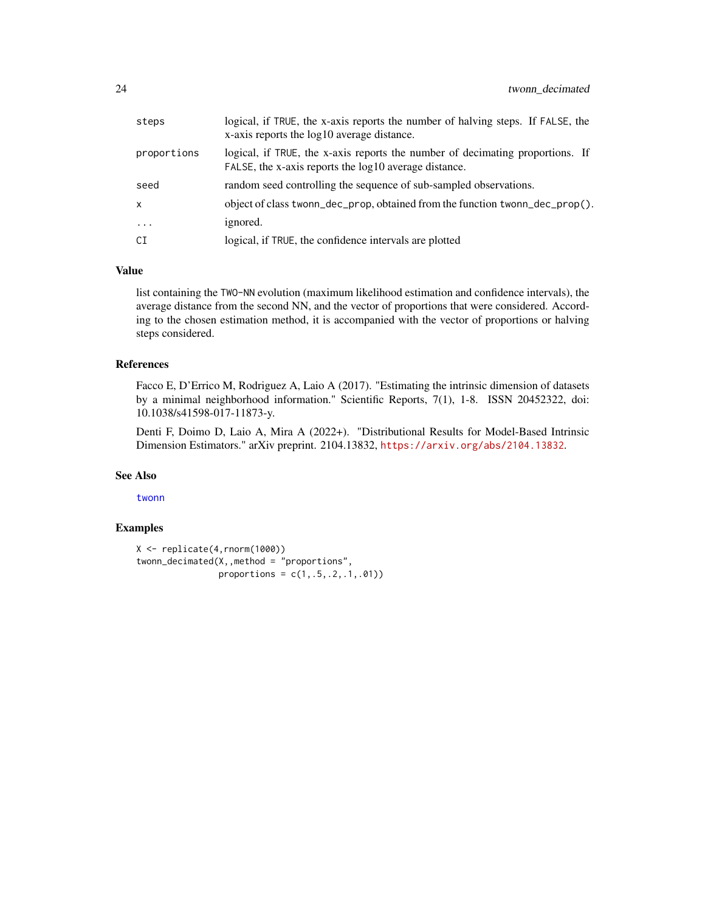<span id="page-23-0"></span>

| steps       | logical, if TRUE, the x-axis reports the number of halving steps. If FALSE, the<br>x-axis reports the log10 average distance.          |
|-------------|----------------------------------------------------------------------------------------------------------------------------------------|
| proportions | logical, if TRUE, the x-axis reports the number of decimating proportions. If<br>FALSE, the x-axis reports the log10 average distance. |
| seed        | random seed controlling the sequence of sub-sampled observations.                                                                      |
| x           | object of class twonn_dec_prop, obtained from the function twonn_dec_prop().                                                           |
| $\cdots$    | ignored.                                                                                                                               |
| СI          | logical, if TRUE, the confidence intervals are plotted                                                                                 |

list containing the TWO-NN evolution (maximum likelihood estimation and confidence intervals), the average distance from the second NN, and the vector of proportions that were considered. According to the chosen estimation method, it is accompanied with the vector of proportions or halving steps considered.

#### References

Facco E, D'Errico M, Rodriguez A, Laio A (2017). "Estimating the intrinsic dimension of datasets by a minimal neighborhood information." Scientific Reports, 7(1), 1-8. ISSN 20452322, doi: 10.1038/s41598-017-11873-y.

Denti F, Doimo D, Laio A, Mira A (2022+). "Distributional Results for Model-Based Intrinsic Dimension Estimators." arXiv preprint. 2104.13832, <https://arxiv.org/abs/2104.13832>.

# See Also

[twonn](#page-19-1)

# Examples

```
X <- replicate(4,rnorm(1000))
twonn_decimated(X,, method = "proportions",
                proportions = c(1, .5, .2, .1, .01)
```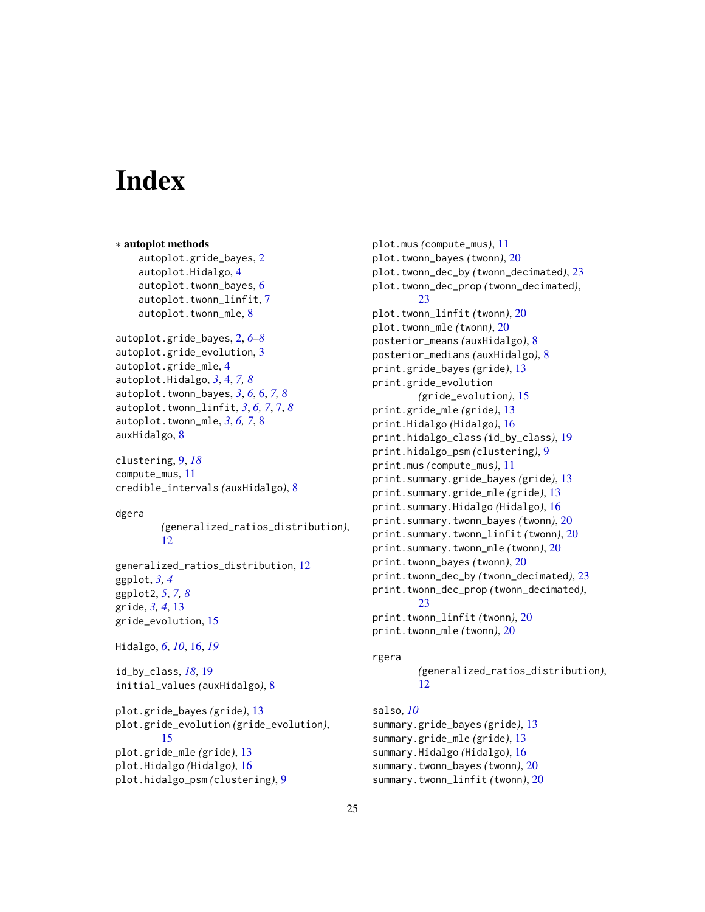# <span id="page-24-0"></span>**Index**

∗ autoplot methods autoplot.gride\_bayes, [2](#page-1-0) autoplot.Hidalgo, [4](#page-3-0) autoplot.twonn\_bayes, [6](#page-5-0) autoplot.twonn\_linfit, [7](#page-6-0) autoplot.twonn\_mle, [8](#page-7-0) autoplot.gride\_bayes, [2,](#page-1-0) *[6–](#page-5-0)[8](#page-7-0)* autoplot.gride\_evolution, [3](#page-2-0) autoplot.gride\_mle, [4](#page-3-0) autoplot.Hidalgo, *[3](#page-2-0)*, [4,](#page-3-0) *[7,](#page-6-0) [8](#page-7-0)* autoplot.twonn\_bayes, *[3](#page-2-0)*, *[6](#page-5-0)*, [6,](#page-5-0) *[7,](#page-6-0) [8](#page-7-0)* autoplot.twonn\_linfit, *[3](#page-2-0)*, *[6,](#page-5-0) [7](#page-6-0)*, [7,](#page-6-0) *[8](#page-7-0)* autoplot.twonn\_mle, *[3](#page-2-0)*, *[6,](#page-5-0) [7](#page-6-0)*, [8](#page-7-0) auxHidalgo, [8](#page-7-0) clustering, [9,](#page-8-0) *[18](#page-17-0)* compute\_mus, [11](#page-10-0) credible\_intervals *(*auxHidalgo*)*, [8](#page-7-0) dgera *(*generalized\_ratios\_distribution*)*, [12](#page-11-0) generalized\_ratios\_distribution, [12](#page-11-0) ggplot, *[3,](#page-2-0) [4](#page-3-0)* ggplot2, *[5](#page-4-0)*, *[7,](#page-6-0) [8](#page-7-0)* gride, *[3,](#page-2-0) [4](#page-3-0)*, [13](#page-12-0) gride\_evolution, [15](#page-14-0) Hidalgo, *[6](#page-5-0)*, *[10](#page-9-0)*, [16,](#page-15-0) *[19](#page-18-0)* id\_by\_class, *[18](#page-17-0)*, [19](#page-18-0) initial\_values *(*auxHidalgo*)*, [8](#page-7-0) plot.gride\_bayes *(*gride*)*, [13](#page-12-0) plot.gride\_evolution *(*gride\_evolution*)*, [15](#page-14-0) plot.gride\_mle *(*gride*)*, [13](#page-12-0) plot.Hidalgo *(*Hidalgo*)*, [16](#page-15-0)

plot.hidalgo\_psm *(*clustering*)*, [9](#page-8-0)

plot.mus *(*compute\_mus*)*, [11](#page-10-0) plot.twonn\_bayes *(*twonn*)*, [20](#page-19-0) plot.twonn\_dec\_by *(*twonn\_decimated*)*, [23](#page-22-0) plot.twonn\_dec\_prop *(*twonn\_decimated*)*, [23](#page-22-0) plot.twonn\_linfit *(*twonn*)*, [20](#page-19-0) plot.twonn\_mle *(*twonn*)*, [20](#page-19-0) posterior\_means *(*auxHidalgo*)*, [8](#page-7-0) posterior\_medians *(*auxHidalgo*)*, [8](#page-7-0) print.gride\_bayes *(*gride*)*, [13](#page-12-0) print.gride\_evolution *(*gride\_evolution*)*, [15](#page-14-0) print.gride\_mle *(*gride*)*, [13](#page-12-0) print.Hidalgo *(*Hidalgo*)*, [16](#page-15-0) print.hidalgo\_class *(*id\_by\_class*)*, [19](#page-18-0) print.hidalgo\_psm *(*clustering*)*, [9](#page-8-0) print.mus *(*compute\_mus*)*, [11](#page-10-0) print.summary.gride\_bayes *(*gride*)*, [13](#page-12-0) print.summary.gride\_mle *(*gride*)*, [13](#page-12-0) print.summary.Hidalgo *(*Hidalgo*)*, [16](#page-15-0) print.summary.twonn\_bayes *(*twonn*)*, [20](#page-19-0) print.summary.twonn\_linfit *(*twonn*)*, [20](#page-19-0) print.summary.twonn\_mle *(*twonn*)*, [20](#page-19-0) print.twonn\_bayes *(*twonn*)*, [20](#page-19-0) print.twonn\_dec\_by *(*twonn\_decimated*)*, [23](#page-22-0) print.twonn\_dec\_prop *(*twonn\_decimated*)*, [23](#page-22-0) print.twonn\_linfit *(*twonn*)*, [20](#page-19-0) print.twonn\_mle *(*twonn*)*, [20](#page-19-0)

#### rgera

*(*generalized\_ratios\_distribution*)*, [12](#page-11-0)

# salso, *[10](#page-9-0)*

summary.gride\_bayes *(*gride*)*, [13](#page-12-0) summary.gride\_mle *(*gride*)*, [13](#page-12-0) summary.Hidalgo *(*Hidalgo*)*, [16](#page-15-0) summary.twonn\_bayes *(*twonn*)*, [20](#page-19-0) summary.twonn\_linfit *(*twonn*)*, [20](#page-19-0)